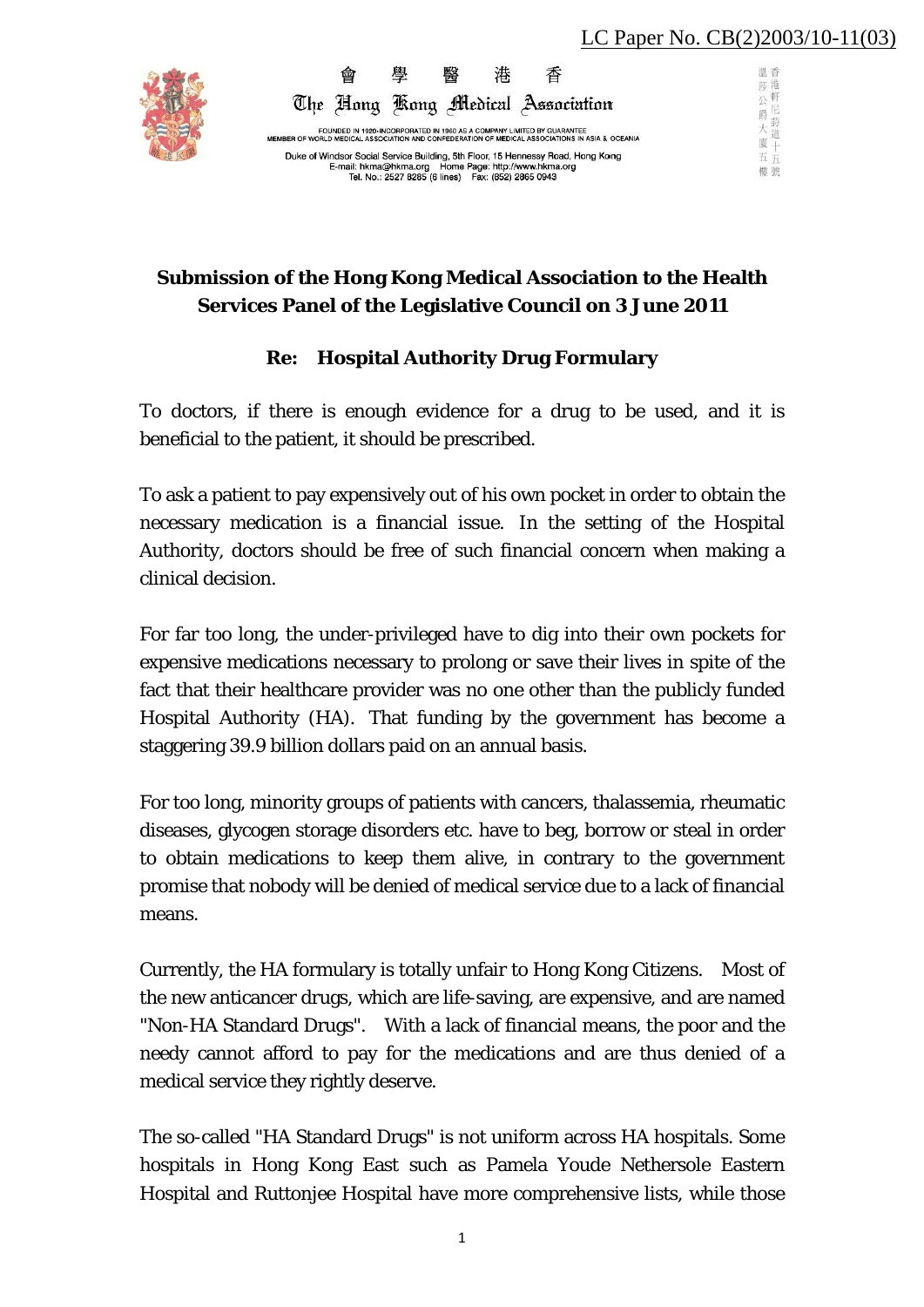泗 禾 一莎港一 沙公爵

 $\star$ 

窗

五五 棚號



FOUNDED IN 1920 INCORPORATED IN 1960 AS A COMPANY LIMITED BY GUARANTEE<br>MEMBER OF WORLD MEDICAL ASSOCIATION AND CONFEDERATION OF MEDICAL ASSOCIATIONS IN ASIA & OCEANIA Duke of Windsor Social Service Building, 5th Floor, 15 Hennessy Road, Hong Kong<br>E-mail: hkma@hkma.org Home Page: http://www.hkma.org<br>Tel. No.: 2527 8285 (6 lines) Fax: (852) 2865 0943

The Hong Kong Medical Association

港

香

學

## **Submission of the Hong Kong Medical Association to the Health Services Panel of the Legislative Council on 3 June 2011**

## **Re: Hospital Authority Drug Formulary**

To doctors, if there is enough evidence for a drug to be used, and it is beneficial to the patient, it should be prescribed.

To ask a patient to pay expensively out of his own pocket in order to obtain the necessary medication is a financial issue. In the setting of the Hospital Authority, doctors should be free of such financial concern when making a clinical decision.

For far too long, the under-privileged have to dig into their own pockets for expensive medications necessary to prolong or save their lives in spite of the fact that their healthcare provider was no one other than the publicly funded Hospital Authority (HA). That funding by the government has become a staggering 39.9 billion dollars paid on an annual basis.

For too long, minority groups of patients with cancers, thalassemia, rheumatic diseases, glycogen storage disorders etc. have to beg, borrow or steal in order to obtain medications to keep them alive, in contrary to the government promise that nobody will be denied of medical service due to a lack of financial means.

Currently, the HA formulary is totally unfair to Hong Kong Citizens. Most of the new anticancer drugs, which are life-saving, are expensive, and are named "Non-HA Standard Drugs". With a lack of financial means, the poor and the needy cannot afford to pay for the medications and are thus denied of a medical service they rightly deserve.

The so-called "HA Standard Drugs" is not uniform across HA hospitals. Some hospitals in Hong Kong East such as Pamela Youde Nethersole Eastern Hospital and Ruttonjee Hospital have more comprehensive lists, while those